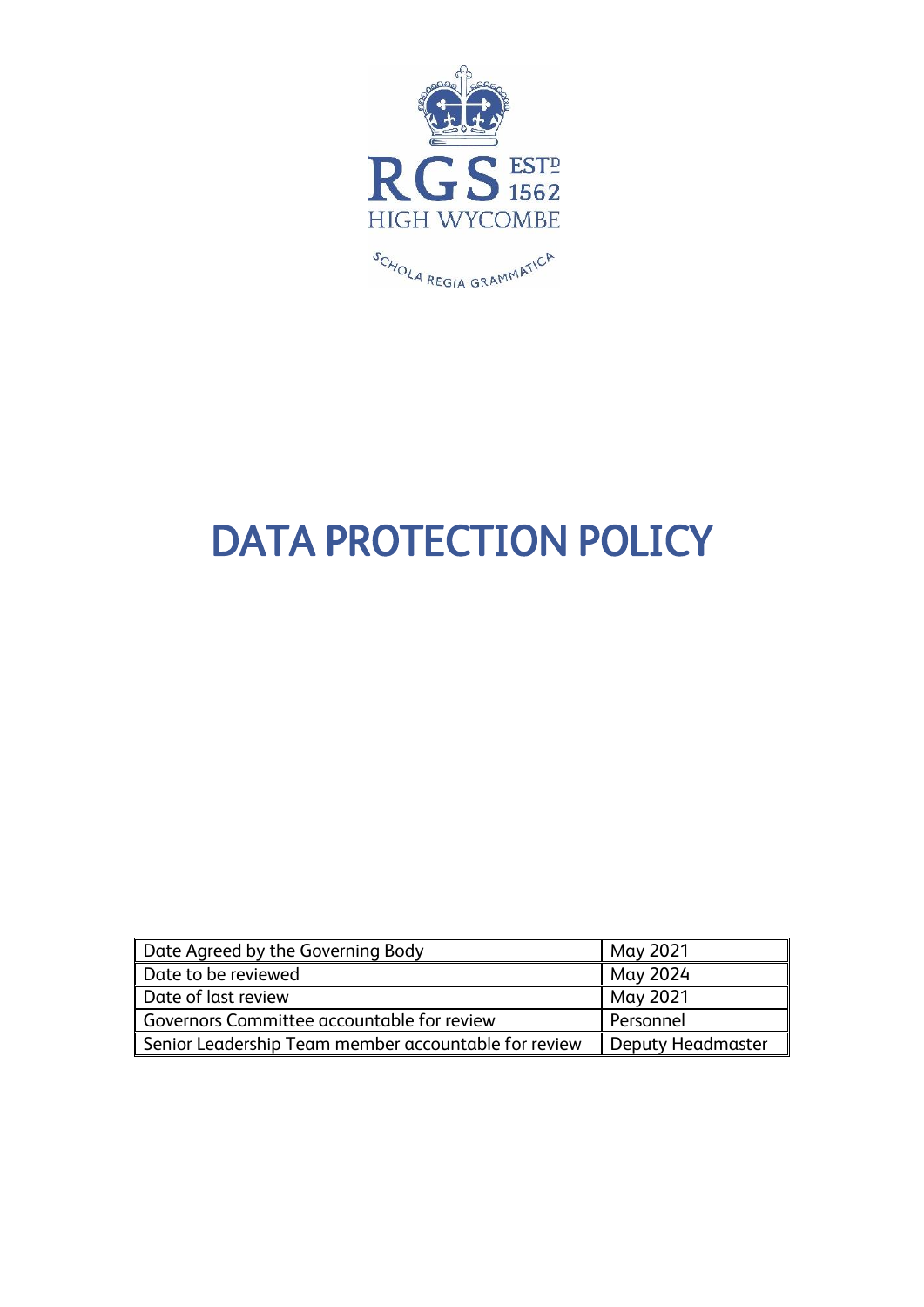

# DATA PROTECTION POLICY

| Date Agreed by the Governing Body                    | May 2021          |
|------------------------------------------------------|-------------------|
| Date to be reviewed                                  | " May 2024        |
| Date of last review                                  | May 2021          |
| Governors Committee accountable for review           | Personnel         |
| Senior Leadership Team member accountable for review | Deputy Headmaster |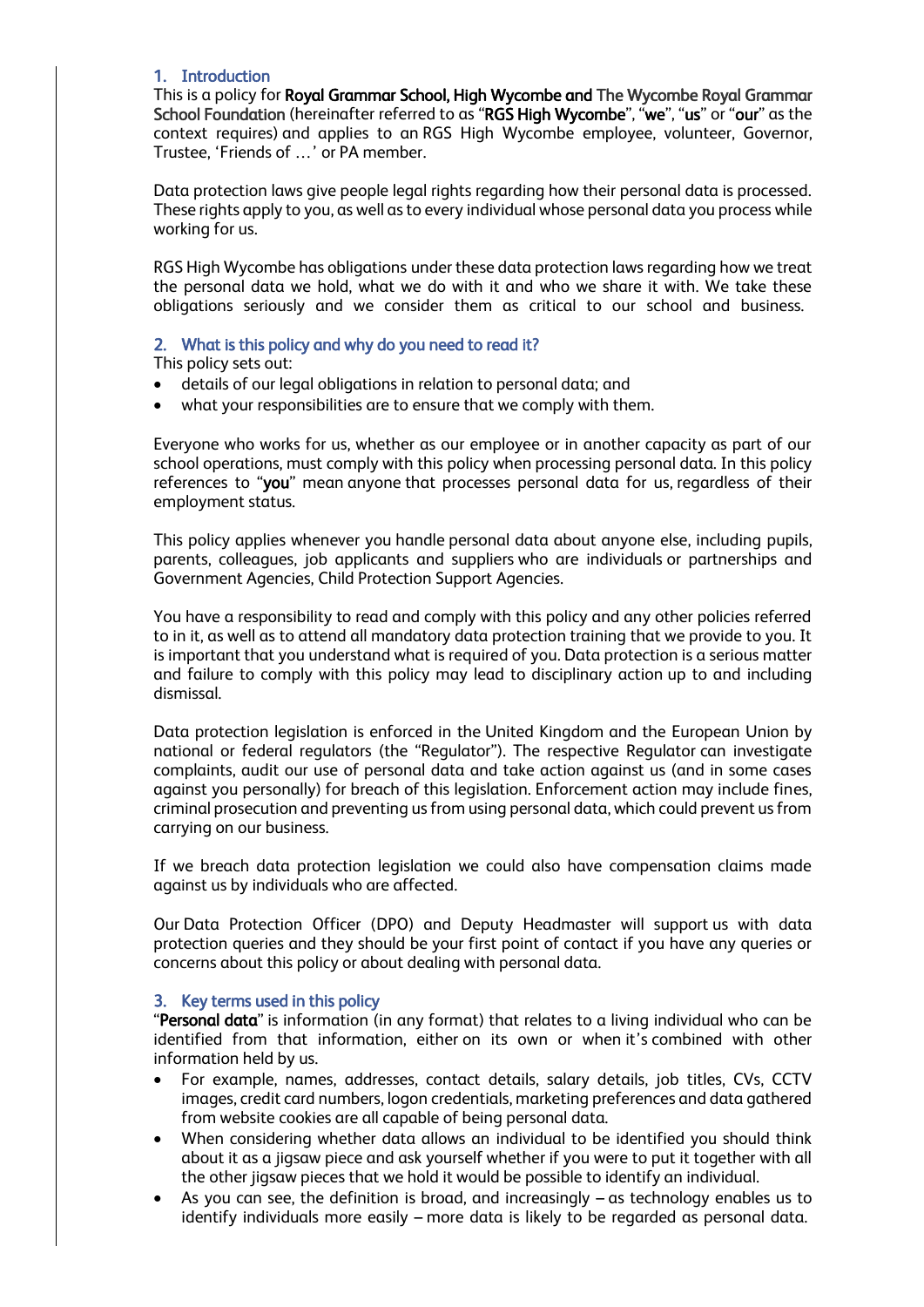## 1. Introduction

This is a policy for Royal Grammar School, High Wycombe and The Wycombe Royal Grammar School Foundation (hereinafter referred to as "RGS High Wycombe", "we", "us" or "our" as the context requires) and applies to an RGS High Wycombe employee, volunteer, Governor, Trustee, 'Friends of …' or PA member.

Data protection laws give people legal rights regarding how their personal data is processed. These rights apply to you, as well as to every individual whose personal data you process while working for us.

RGS High Wycombe has obligations under these data protection laws regarding how we treat the personal data we hold, what we do with it and who we share it with. We take these obligations seriously and we consider them as critical to our school and business.

## 2. What is this policy and why do you need to read it?

This policy sets out:

- details of our legal obligations in relation to personal data; and
- what your responsibilities are to ensure that we comply with them.

Everyone who works for us, whether as our employee or in another capacity as part of our school operations, must comply with this policy when processing personal data. In this policy references to "you" mean anyone that processes personal data for us, regardless of their employment status.

This policy applies whenever you handle personal data about anyone else, including pupils, parents, colleagues, job applicants and suppliers who are individuals or partnerships and Government Agencies, Child Protection Support Agencies.

You have a responsibility to read and comply with this policy and any other policies referred to in it, as well as to attend all mandatory data protection training that we provide to you. It is important that you understand what is required of you. Data protection is a serious matter and failure to comply with this policy may lead to disciplinary action up to and including dismissal.

Data protection legislation is enforced in the United Kingdom and the European Union by national or federal regulators (the "Regulator"). The respective Regulator can investigate complaints, audit our use of personal data and take action against us (and in some cases against you personally) for breach of this legislation. Enforcement action may include fines, criminal prosecution and preventing us from using personal data, which could prevent us from carrying on our business.

If we breach data protection legislation we could also have compensation claims made against us by individuals who are affected.

Our Data Protection Officer (DPO) and Deputy Headmaster will support us with data protection queries and they should be your first point of contact if you have any queries or concerns about this policy or about dealing with personal data.

# 3. Key terms used in this policy

"Personal data" is information (in any format) that relates to a living individual who can be identified from that information, either on its own or when it's combined with other information held by us.

- For example, names, addresses, contact details, salary details, job titles, CVs, CCTV images, credit card numbers, logon credentials, marketing preferences and data gathered from website cookies are all capable of being personal data.
- When considering whether data allows an individual to be identified you should think about it as a jigsaw piece and ask yourself whether if you were to put it together with all the other jigsaw pieces that we hold it would be possible to identify an individual.
- As you can see, the definition is broad, and increasingly  $-$  as technology enables us to identify individuals more easily – more data is likely to be regarded as personal data.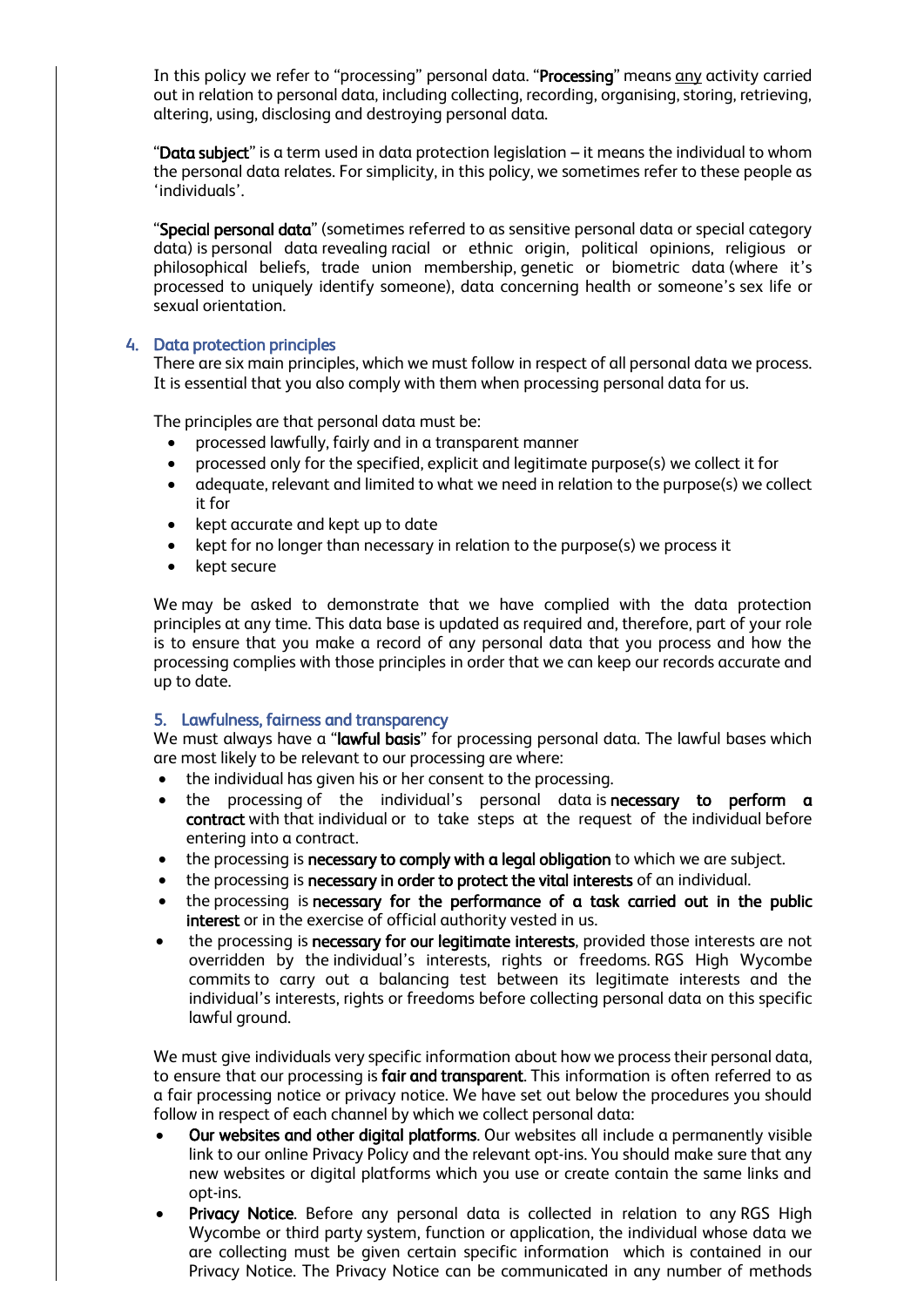In this policy we refer to "processing" personal data. "Processing" means any activity carried out in relation to personal data, including collecting, recording, organising, storing, retrieving, altering, using, disclosing and destroying personal data.

"Data subject" is a term used in data protection legislation – it means the individual to whom the personal data relates. For simplicity, in this policy, we sometimes refer to these people as 'individuals'.

"Special personal data" (sometimes referred to as sensitive personal data or special category data) is personal data revealing racial or ethnic origin, political opinions, religious or philosophical beliefs, trade union membership, genetic or biometric data (where it's processed to uniquely identify someone), data concerning health or someone's sex life or sexual orientation.

# 4. Data protection principles

There are six main principles, which we must follow in respect of all personal data we process. It is essential that you also comply with them when processing personal data for us.

The principles are that personal data must be:

- processed lawfully, fairly and in a transparent manner
- processed only for the specified, explicit and legitimate purpose(s) we collect it for
- adequate, relevant and limited to what we need in relation to the purpose(s) we collect it for
- kept accurate and kept up to date
- kept for no longer than necessary in relation to the purpose(s) we process it
- kept secure

We may be asked to demonstrate that we have complied with the data protection principles at any time. This data base is updated as required and, therefore, part of your role is to ensure that you make a record of any personal data that you process and how the processing complies with those principles in order that we can keep our records accurate and up to date.

## 5. Lawfulness, fairness and transparency

We must always have a "lawful basis" for processing personal data. The lawful bases which are most likely to be relevant to our processing are where:

- the individual has given his or her consent to the processing.
- the processing of the individual's personal data is necessary to perform a contract with that individual or to take steps at the request of the individual before entering into a contract.
- the processing is necessary to comply with a legal obligation to which we are subject.
- the processing is necessary in order to protect the vital interests of an individual.
- the processing is necessary for the performance of a task carried out in the public interest or in the exercise of official authority vested in us.
- the processing is necessary for our legitimate interests, provided those interests are not overridden by the individual's interests, rights or freedoms. RGS High Wycombe commits to carry out a balancing test between its legitimate interests and the individual's interests, rights or freedoms before collecting personal data on this specific lawful ground.

We must give individuals very specific information about how we process their personal data, to ensure that our processing is fair and transparent. This information is often referred to as a fair processing notice or privacy notice. We have set out below the procedures you should follow in respect of each channel by which we collect personal data:

- Our websites and other digital platforms. Our websites all include a permanently visible link to our online Privacy Policy and the relevant opt-ins. You should make sure that any new websites or digital platforms which you use or create contain the same links and opt-ins.
- Privacy Notice. Before any personal data is collected in relation to any RGS High Wycombe or third party system, function or application, the individual whose data we are collecting must be given certain specific information which is contained in our Privacy Notice. The Privacy Notice can be communicated in any number of methods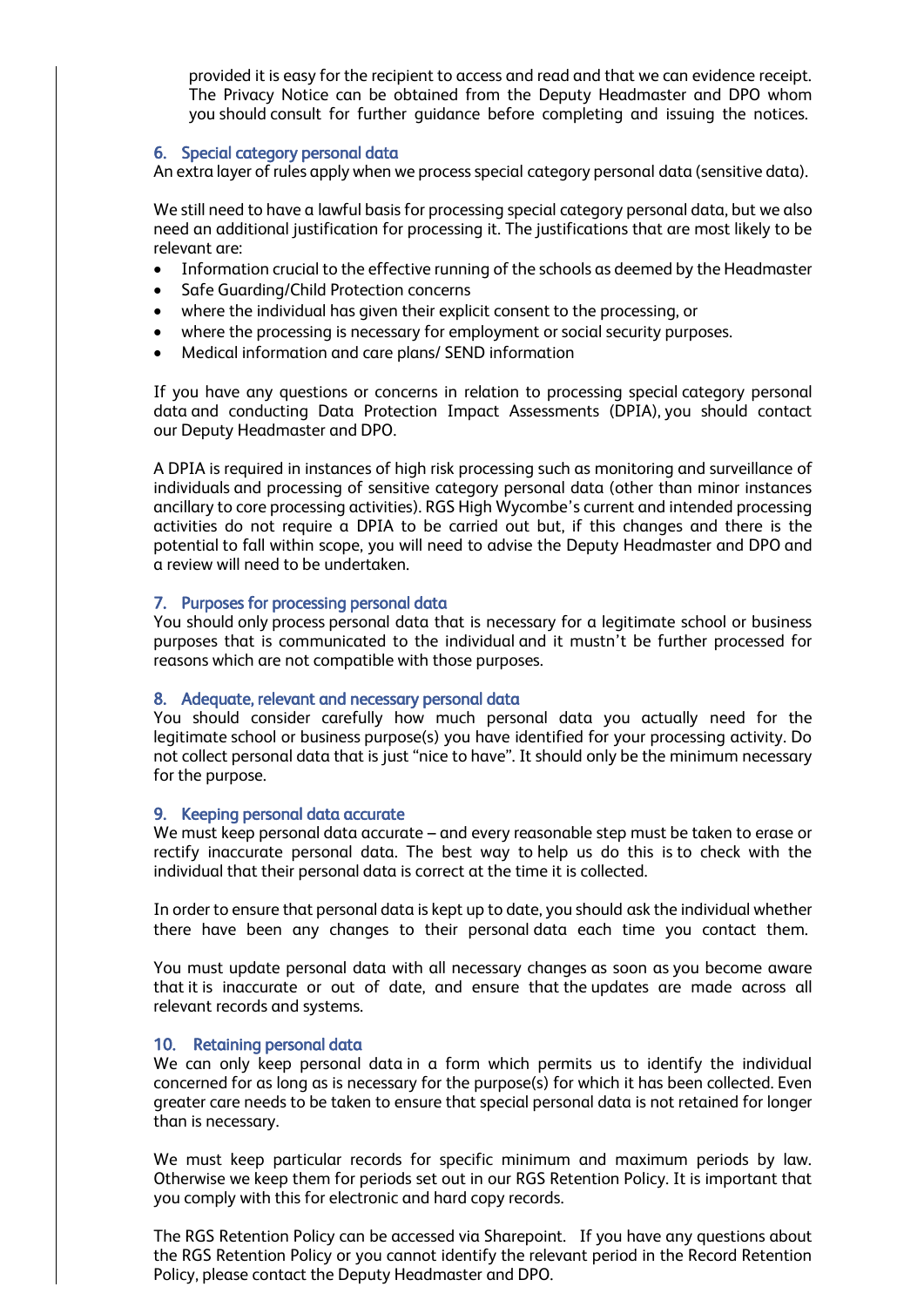provided it is easy for the recipient to access and read and that we can evidence receipt. The Privacy Notice can be obtained from the Deputy Headmaster and DPO whom you should consult for further guidance before completing and issuing the notices.

## 6. Special category personal data

An extra layer of rules apply when we process special category personal data (sensitive data).

We still need to have a lawful basis for processing special category personal data, but we also need an additional justification for processing it. The justifications that are most likely to be relevant are:

- Information crucial to the effective running of the schools as deemed by the Headmaster
- Safe Guarding/Child Protection concerns
- where the individual has given their explicit consent to the processing, or
- where the processing is necessary for employment or social security purposes.
- Medical information and care plans/ SEND information

If you have any questions or concerns in relation to processing special category personal data and conducting Data Protection Impact Assessments (DPIA), you should contact our Deputy Headmaster and DPO.

A DPIA is required in instances of high risk processing such as monitoring and surveillance of individuals and processing of sensitive category personal data (other than minor instances ancillary to core processing activities). RGS High Wycombe's current and intended processing activities do not require a DPIA to be carried out but, if this changes and there is the potential to fall within scope, you will need to advise the Deputy Headmaster and DPO and a review will need to be undertaken.

## 7. Purposes for processing personal data

You should only process personal data that is necessary for a legitimate school or business purposes that is communicated to the individual and it mustn't be further processed for reasons which are not compatible with those purposes.

## 8. Adequate, relevant and necessary personal data

You should consider carefully how much personal data you actually need for the legitimate school or business purpose(s) you have identified for your processing activity. Do not collect personal data that is just "nice to have". It should only be the minimum necessary for the purpose.

## 9. Keeping personal data accurate

We must keep personal data accurate – and every reasonable step must be taken to erase or rectify inaccurate personal data. The best way to help us do this is to check with the individual that their personal data is correct at the time it is collected.

In order to ensure that personal data is kept up to date, you should ask the individual whether there have been any changes to their personal data each time you contact them.

You must update personal data with all necessary changes as soon as you become aware that it is inaccurate or out of date, and ensure that the updates are made across all relevant records and systems.

## 10. Retaining personal data

We can only keep personal data in a form which permits us to identify the individual concerned for as long as is necessary for the purpose(s) for which it has been collected. Even greater care needs to be taken to ensure that special personal data is not retained for longer than is necessary.

We must keep particular records for specific minimum and maximum periods by law. Otherwise we keep them for periods set out in our RGS Retention Policy. It is important that you comply with this for electronic and hard copy records.

The RGS Retention Policy can be accessed via Sharepoint. If you have any questions about the RGS Retention Policy or you cannot identify the relevant period in the Record Retention Policy, please contact the Deputy Headmaster and DPO.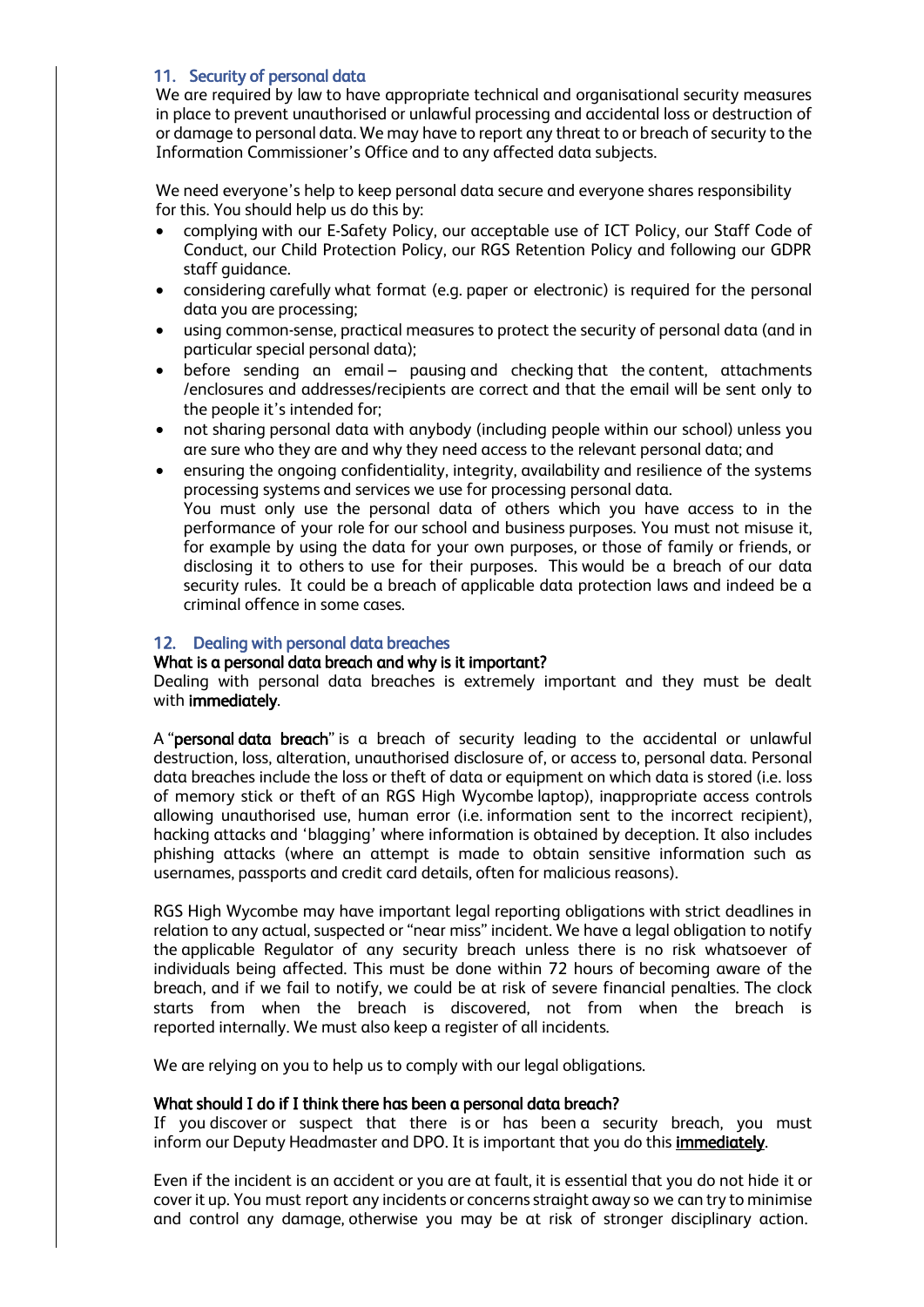# 11. Security of personal data

We are required by law to have appropriate technical and organisational security measures in place to prevent unauthorised or unlawful processing and accidental loss or destruction of or damage to personal data. We may have to report any threat to or breach of security to the Information Commissioner's Office and to any affected data subjects.

We need everyone's help to keep personal data secure and everyone shares responsibility for this. You should help us do this by:

- complying with our E-Safety Policy, our acceptable use of ICT Policy, our Staff Code of Conduct, our Child Protection Policy, our RGS Retention Policy and following our GDPR staff guidance.
- considering carefully what format (e.g. paper or electronic) is required for the personal data you are processing;
- using common-sense, practical measures to protect the security of personal data (and in particular special personal data);
- before sending an email pausing and checking that the content, attachments /enclosures and addresses/recipients are correct and that the email will be sent only to the people it's intended for;
- not sharing personal data with anybody (including people within our school) unless you are sure who they are and why they need access to the relevant personal data; and
- ensuring the ongoing confidentiality, integrity, availability and resilience of the systems processing systems and services we use for processing personal data. You must only use the personal data of others which you have access to in the performance of your role for our school and business purposes. You must not misuse it,

for example by using the data for your own purposes, or those of family or friends, or disclosing it to others to use for their purposes. This would be a breach of our data security rules. It could be a breach of applicable data protection laws and indeed be a criminal offence in some cases.

## 12. Dealing with personal data breaches

## What is a personal data breach and why is it important?

Dealing with personal data breaches is extremely important and they must be dealt with immediately.

A "personal data breach" is a breach of security leading to the accidental or unlawful destruction, loss, alteration, unauthorised disclosure of, or access to, personal data. Personal data breaches include the loss or theft of data or equipment on which data is stored (i.e. loss of memory stick or theft of an RGS High Wycombe laptop), inappropriate access controls allowing unauthorised use, human error (i.e. information sent to the incorrect recipient), hacking attacks and 'blagging' where information is obtained by deception. It also includes phishing attacks (where an attempt is made to obtain sensitive information such as usernames, passports and credit card details, often for malicious reasons).

RGS High Wycombe may have important legal reporting obligations with strict deadlines in relation to any actual, suspected or "near miss" incident. We have a legal obligation to notify the applicable Regulator of any security breach unless there is no risk whatsoever of individuals being affected. This must be done within 72 hours of becoming aware of the breach, and if we fail to notify, we could be at risk of severe financial penalties. The clock starts from when the breach is discovered, not from when the breach is reported internally. We must also keep a register of all incidents.

We are relying on you to help us to comply with our legal obligations.

## What should I do if I think there has been a personal data breach?

If you discover or suspect that there is or has been a security breach, you must inform our Deputy Headmaster and DPO. It is important that you do this *immediately*.

Even if the incident is an accident or you are at fault, it is essential that you do not hide it or cover it up. You must report any incidents or concerns straight away so we can try to minimise and control any damage, otherwise you may be at risk of stronger disciplinary action.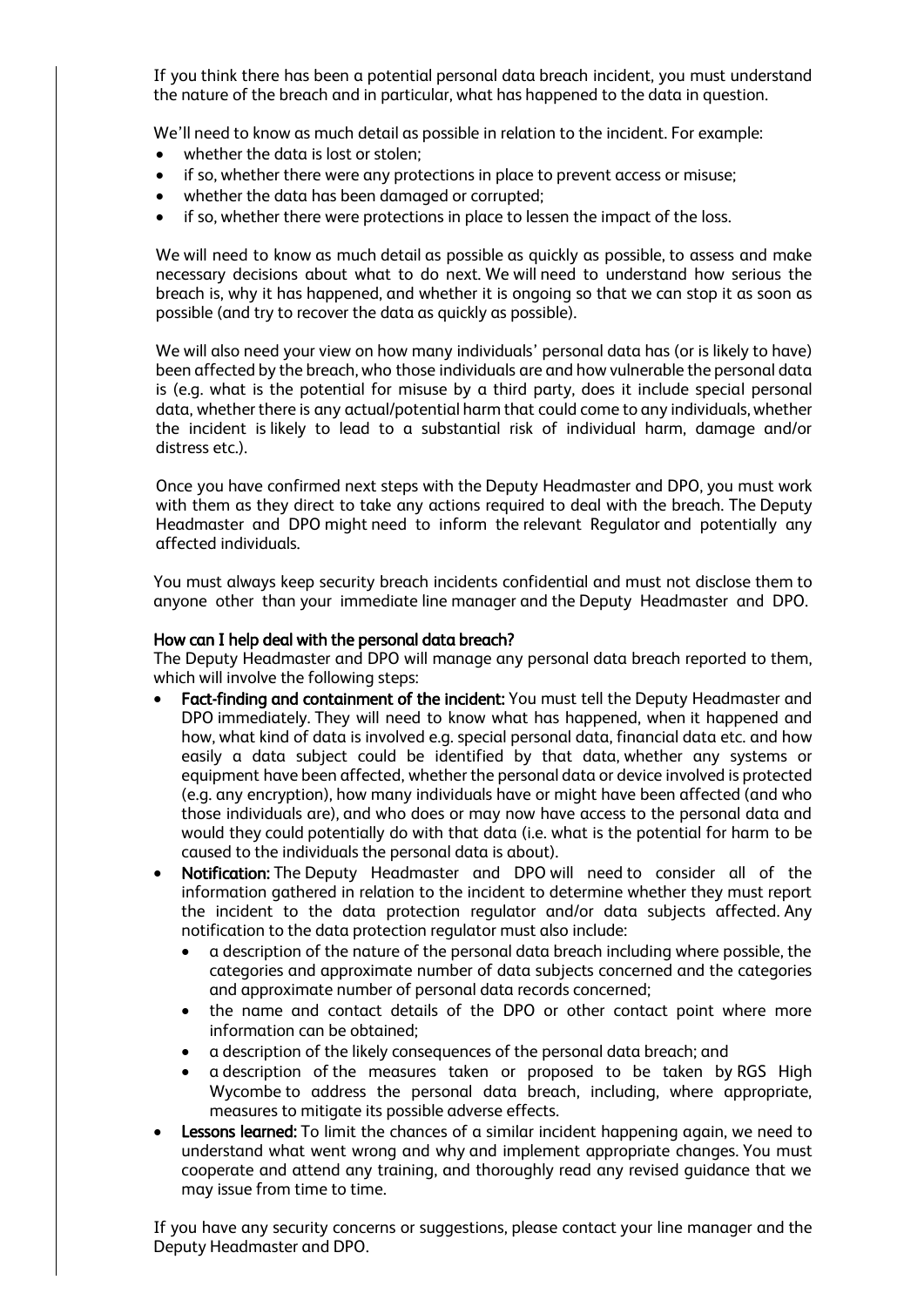If you think there has been a potential personal data breach incident, you must understand the nature of the breach and in particular, what has happened to the data in question.

We'll need to know as much detail as possible in relation to the incident. For example:

- whether the data is lost or stolen;
- if so, whether there were any protections in place to prevent access or misuse;
- whether the data has been damaged or corrupted;
- if so, whether there were protections in place to lessen the impact of the loss.

We will need to know as much detail as possible as quickly as possible, to assess and make necessary decisions about what to do next. We will need to understand how serious the breach is, why it has happened, and whether it is ongoing so that we can stop it as soon as possible (and try to recover the data as quickly as possible).

We will also need your view on how many individuals' personal data has (or is likely to have) been affected by the breach, who those individuals are and how vulnerable the personal data is (e.g. what is the potential for misuse by a third party, does it include special personal data, whether there is any actual/potential harm that could come to any individuals, whether the incident is likely to lead to a substantial risk of individual harm, damage and/or distress etc.).

Once you have confirmed next steps with the Deputy Headmaster and DPO, you must work with them as they direct to take any actions required to deal with the breach. The Deputy Headmaster and DPO might need to inform the relevant Regulator and potentially any affected individuals.

You must always keep security breach incidents confidential and must not disclose them to anyone other than your immediate line manager and the Deputy Headmaster and DPO.

## How can I help deal with the personal data breach?

The Deputy Headmaster and DPO will manage any personal data breach reported to them, which will involve the following steps:

- Fact-finding and containment of the incident: You must tell the Deputy Headmaster and DPO immediately. They will need to know what has happened, when it happened and how, what kind of data is involved e.g. special personal data, financial data etc. and how easily a data subject could be identified by that data, whether any systems or equipment have been affected, whether the personal data or device involved is protected (e.g. any encryption), how many individuals have or might have been affected (and who those individuals are), and who does or may now have access to the personal data and would they could potentially do with that data (i.e. what is the potential for harm to be caused to the individuals the personal data is about).
- Notification: The Deputy Headmaster and DPO will need to consider all of the information gathered in relation to the incident to determine whether they must report the incident to the data protection regulator and/or data subjects affected. Any notification to the data protection regulator must also include:
	- a description of the nature of the personal data breach including where possible, the categories and approximate number of data subjects concerned and the categories and approximate number of personal data records concerned;
	- the name and contact details of the DPO or other contact point where more information can be obtained;
	- a description of the likely consequences of the personal data breach; and
	- a description of the measures taken or proposed to be taken by RGS High Wycombe to address the personal data breach, including, where appropriate, measures to mitigate its possible adverse effects.
- **Lessons learned:** To limit the chances of a similar incident happening again, we need to understand what went wrong and why and implement appropriate changes. You must cooperate and attend any training, and thoroughly read any revised guidance that we may issue from time to time.

If you have any security concerns or suggestions, please contact your line manager and the Deputy Headmaster and DPO.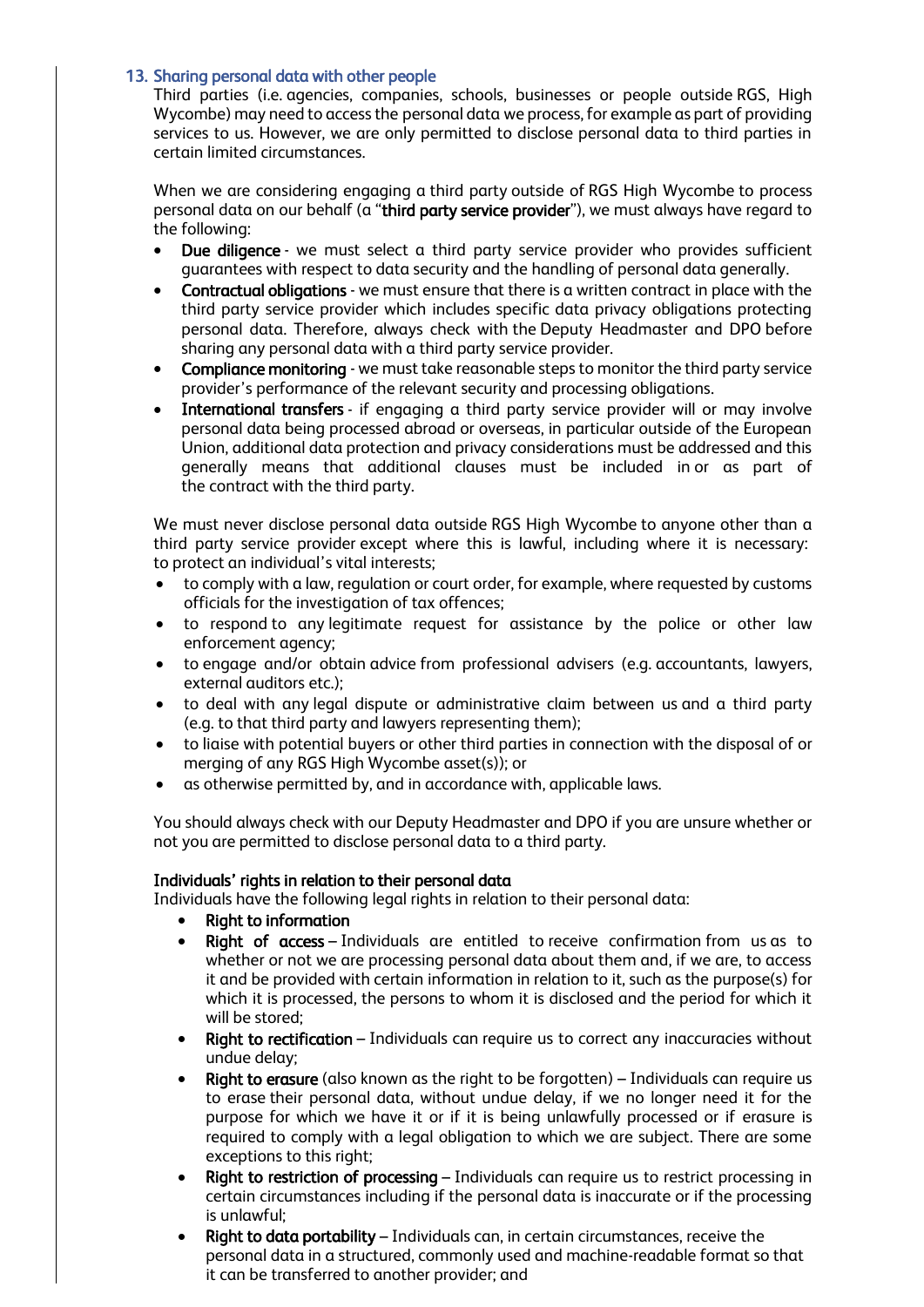## 13. Sharing personal data with other people

Third parties (i.e. agencies, companies, schools, businesses or people outside RGS, High Wycombe) may need to access the personal data we process, for example as part of providing services to us. However, we are only permitted to disclose personal data to third parties in certain limited circumstances.

When we are considering engaging a third party outside of RGS High Wycombe to process personal data on our behalf (a "third party service provider"), we must always have regard to the following:

- Due diligence we must select a third party service provider who provides sufficient guarantees with respect to data security and the handling of personal data generally.
- Contractual obligations we must ensure that there is a written contract in place with the third party service provider which includes specific data privacy obligations protecting personal data. Therefore, always check with the Deputy Headmaster and DPO before sharing any personal data with a third party service provider.
- Compliance monitoring we must take reasonable steps to monitor the third party service provider's performance of the relevant security and processing obligations.
- International transfers if engaging a third party service provider will or may involve personal data being processed abroad or overseas, in particular outside of the European Union, additional data protection and privacy considerations must be addressed and this generally means that additional clauses must be included in or as part of the contract with the third party.

We must never disclose personal data outside RGS High Wycombe to anyone other than a third party service provider except where this is lawful, including where it is necessary: to protect an individual's vital interests;

- to comply with a law, regulation or court order, for example, where requested by customs officials for the investigation of tax offences;
- to respond to any legitimate request for assistance by the police or other law enforcement agency;
- to engage and/or obtain advice from professional advisers (e.g. accountants, lawyers, external auditors etc.);
- to deal with any legal dispute or administrative claim between us and a third party (e.g. to that third party and lawyers representing them);
- to liaise with potential buyers or other third parties in connection with the disposal of or merging of any RGS High Wycombe asset(s)); or
- as otherwise permitted by, and in accordance with, applicable laws.

You should always check with our Deputy Headmaster and DPO if you are unsure whether or not you are permitted to disclose personal data to a third party.

## Individuals' rights in relation to their personal data

Individuals have the following legal rights in relation to their personal data:

- Right to information
- Right of access Individuals are entitled to receive confirmation from us as to whether or not we are processing personal data about them and, if we are, to access it and be provided with certain information in relation to it, such as the purpose(s) for which it is processed, the persons to whom it is disclosed and the period for which it will be stored;
- Right to rectification Individuals can require us to correct any inaccuracies without undue delay;
- Right to erasure (also known as the right to be forgotten) Individuals can require us to erase their personal data, without undue delay, if we no longer need it for the purpose for which we have it or if it is being unlawfully processed or if erasure is required to comply with a legal obligation to which we are subject. There are some exceptions to this right;
- Right to restriction of processing Individuals can require us to restrict processing in certain circumstances including if the personal data is inaccurate or if the processing is unlawful;
- Right to data portability Individuals can, in certain circumstances, receive the personal data in a structured, commonly used and machine-readable format so that it can be transferred to another provider; and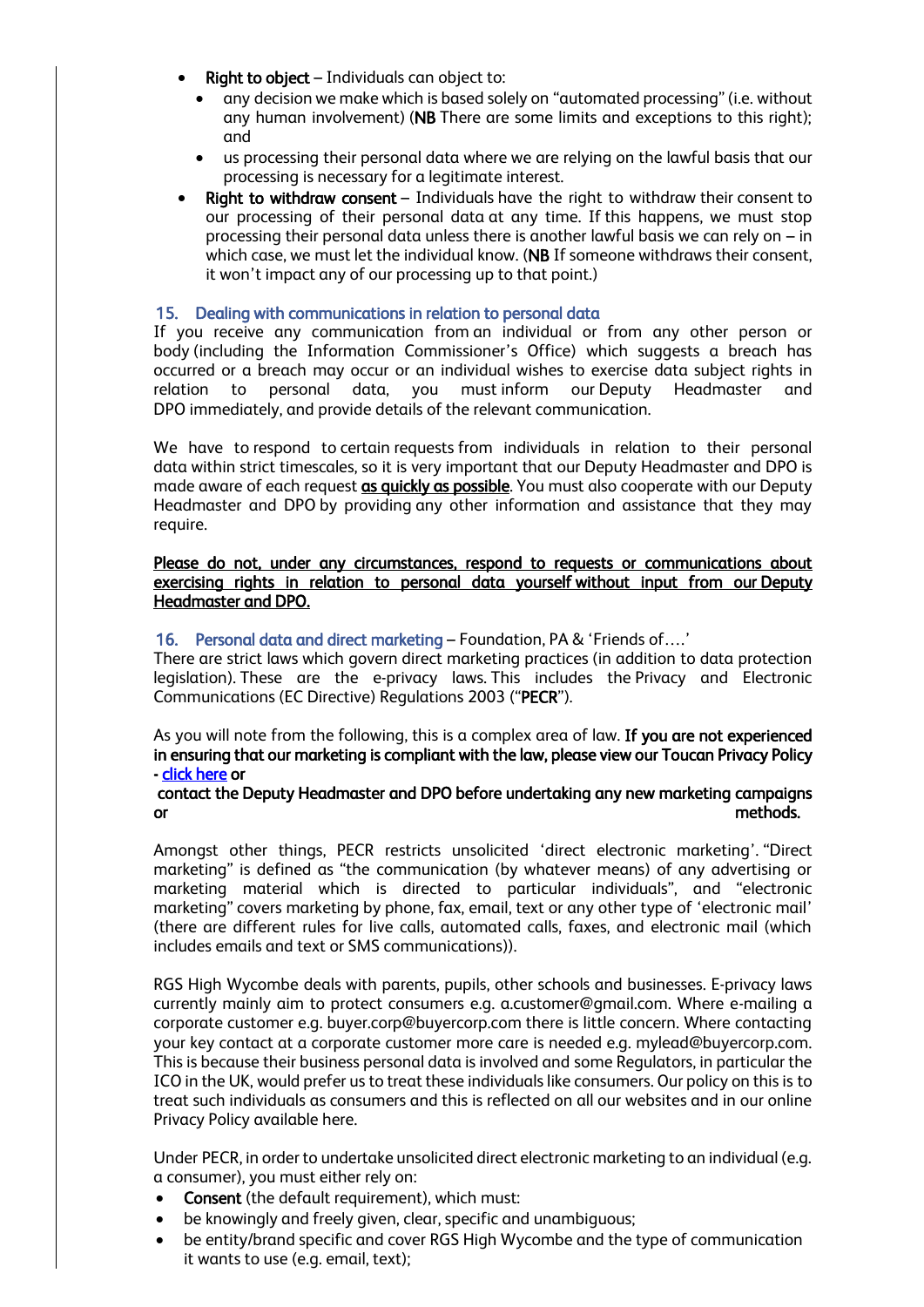- **Right to object** Individuals can object to:
	- any decision we make which is based solely on "automated processing" (i.e. without any human involvement) (NB There are some limits and exceptions to this right); and
	- us processing their personal data where we are relying on the lawful basis that our processing is necessary for a legitimate interest.
- **Right to withdraw consent**  $-$  Individuals have the right to withdraw their consent to our processing of their personal data at any time. If this happens, we must stop processing their personal data unless there is another lawful basis we can rely on – in which case, we must let the individual know. (NB If someone withdraws their consent, it won't impact any of our processing up to that point.)

## 15. Dealing with communications in relation to personal data

If you receive any communication from an individual or from any other person or body (including the Information Commissioner's Office) which suggests a breach has occurred or a breach may occur or an individual wishes to exercise data subject rights in relation to personal data, you must inform our Deputy Headmaster and DPO immediately, and provide details of the relevant communication.

We have to respond to certain requests from individuals in relation to their personal data within strict timescales, so it is very important that our Deputy Headmaster and DPO is made aware of each request as quickly as possible. You must also cooperate with our Deputy Headmaster and DPO by providing any other information and assistance that they may require.

Please do not, under any circumstances, respond to requests or communications about exercising rights in relation to personal data yourself without input from our Deputy Headmaster and DPO.

## 16. Personal data and direct marketing – Foundation, PA & 'Friends of….'

There are strict laws which govern direct marketing practices (in addition to data protection legislation). These are the e-privacy laws. This includes the Privacy and Electronic Communications (EC Directive) Regulations 2003 ("PECR").

As you will note from the following, this is a complex area of law. If you are not experienced in ensuring that our marketing is compliant with the law, please view our Toucan Privacy Policy [- click here](https://wycombiensian.rgshw.com/privacy-policy) or

## contact the Deputy Headmaster and DPO before undertaking any new marketing campaigns or methods.

Amongst other things, PECR restricts unsolicited 'direct electronic marketing'. "Direct marketing" is defined as "the communication (by whatever means) of any advertising or marketing material which is directed to particular individuals", and "electronic marketing" covers marketing by phone, fax, email, text or any other type of 'electronic mail' (there are different rules for live calls, automated calls, faxes, and electronic mail (which includes emails and text or SMS communications)).

RGS High Wycombe deals with parents, pupils, other schools and businesses. E-privacy laws currently mainly aim to protect consumers e.g. a.customer@gmail.com. Where e-mailing a corporate customer e.g. buyer.corp@buyercorp.com there is little concern. Where contacting your key contact at a corporate customer more care is needed e.g. mylead@buyercorp.com. This is because their business personal data is involved and some Regulators, in particular the ICO in the UK, would prefer us to treat these individuals like consumers. Our policy on this is to treat such individuals as consumers and this is reflected on all our websites and in our online Privacy Policy available here.

Under PECR, in order to undertake unsolicited direct electronic marketing to an individual (e.g. a consumer), you must either rely on:

- Consent (the default requirement), which must:
- be knowingly and freely given, clear, specific and unambiguous;
- be entity/brand specific and cover RGS High Wycombe and the type of communication it wants to use (e.g. email, text);